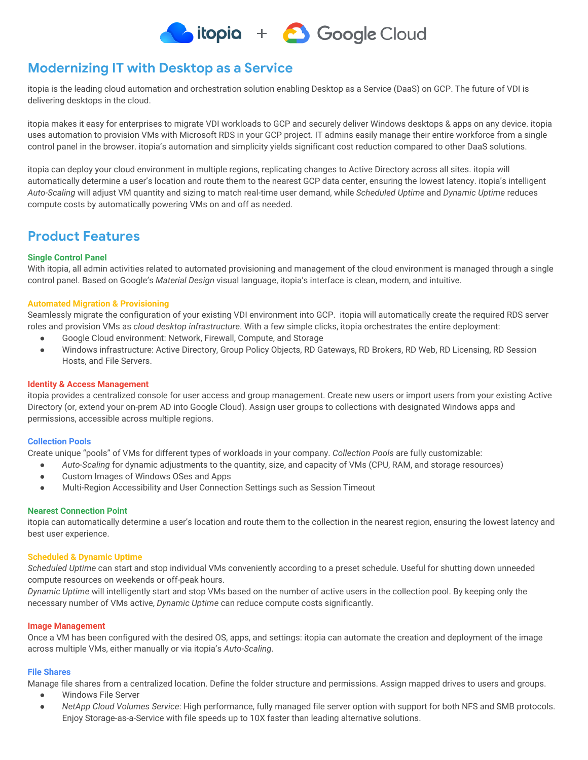

# **Modernizing IT with Desktop as a Service**

itopia is the leading cloud automation and orchestration solution enabling Desktop as a Service (DaaS) on GCP. The future of VDI is delivering desktops in the cloud.

itopia makes it easy for enterprises to migrate VDI workloads to GCP and securely deliver Windows desktops & apps on any device. itopia uses automation to provision VMs with Microsoft RDS in your GCP project. IT admins easily manage their entire workforce from a single control panel in the browser. itopia's automation and simplicity yields significant cost reduction compared to other DaaS solutions.

itopia can deploy your cloud environment in multiple regions, replicating changes to Active Directory across all sites. itopia will automatically determine a user's location and route them to the nearest GCP data center, ensuring the lowest latency. itopia's intelligent *Auto-Scaling* will adjust VM quantity and sizing to match real-time user demand, while *Scheduled Uptime* and *Dynamic Uptime* reduces compute costs by automatically powering VMs on and off as needed.

# **Product Features**

### **Single Control Panel**

With itopia, all admin activities related to automated provisioning and management of the cloud environment is managed through a single control panel. Based on Google's *Material Design* visual language, itopia's interface is clean, modern, and intuitive.

### **Automated Migration & Provisioning**

Seamlessly migrate the configuration of your existing VDI environment into GCP. itopia will automatically create the required RDS server roles and provision VMs as *cloud desktop infrastructure*. With a few simple clicks, itopia orchestrates the entire deployment:

- Google Cloud environment: Network, Firewall, Compute, and Storage
- Windows infrastructure: Active Directory, Group Policy Objects, RD Gateways, RD Brokers, RD Web, RD Licensing, RD Session Hosts, and File Servers.

### **Identity & Access Management**

itopia provides a centralized console for user access and group management. Create new users or import users from your existing Active Directory (or, extend your on-prem AD into Google Cloud). Assign user groups to collections with designated Windows apps and permissions, accessible across multiple regions.

#### **Collection Pools**

Create unique "pools" of VMs for different types of workloads in your company. *Collection Pools* are fully customizable:

- *Auto-Scaling* for dynamic adjustments to the quantity, size, and capacity of VMs (CPU, RAM, and storage resources)
- Custom Images of Windows OSes and Apps
- Multi-Region Accessibility and User Connection Settings such as Session Timeout

### **Nearest Connection Point**

itopia can automatically determine a user's location and route them to the collection in the nearest region, ensuring the lowest latency and best user experience.

#### **Scheduled & Dynamic Uptime**

*Scheduled Uptime* can start and stop individual VMs conveniently according to a preset schedule. Useful for shutting down unneeded compute resources on weekends or off-peak hours.

*Dynamic Uptime* will intelligently start and stop VMs based on the number of active users in the collection pool. By keeping only the necessary number of VMs active, *Dynamic Uptime* can reduce compute costs significantly.

#### **Image Management**

Once a VM has been configured with the desired OS, apps, and settings: itopia can automate the creation and deployment of the image across multiple VMs, either manually or via itopia's *Auto-Scaling*.

#### **File Shares**

Manage file shares from a centralized location. Define the folder structure and permissions. Assign mapped drives to users and groups.

- Windows File Server
- *NetApp Cloud Volumes Service*: High performance, fully managed file server option with support for both NFS and SMB protocols. Enjoy Storage-as-a-Service with file speeds up to 10X faster than leading alternative solutions.